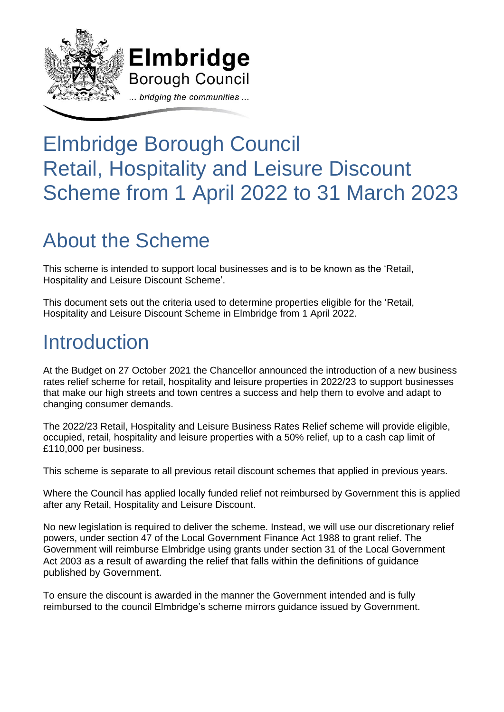

# Elmbridge Borough Council Retail, Hospitality and Leisure Discount Scheme from 1 April 2022 to 31 March 2023

# About the Scheme

This scheme is intended to support local businesses and is to be known as the 'Retail, Hospitality and Leisure Discount Scheme'.

This document sets out the criteria used to determine properties eligible for the 'Retail, Hospitality and Leisure Discount Scheme in Elmbridge from 1 April 2022.

## **Introduction**

At the Budget on 27 October 2021 the Chancellor announced the introduction of a new business rates relief scheme for retail, hospitality and leisure properties in 2022/23 to support businesses that make our high streets and town centres a success and help them to evolve and adapt to changing consumer demands.

The 2022/23 Retail, Hospitality and Leisure Business Rates Relief scheme will provide eligible, occupied, retail, hospitality and leisure properties with a 50% relief, up to a cash cap limit of £110,000 per business.

This scheme is separate to all previous retail discount schemes that applied in previous years.

Where the Council has applied locally funded relief not reimbursed by Government this is applied after any Retail, Hospitality and Leisure Discount.

No new legislation is required to deliver the scheme. Instead, we will use our discretionary relief powers, under section 47 of the Local Government Finance Act 1988 to grant relief. The Government will reimburse Elmbridge using grants under section 31 of the Local Government Act 2003 as a result of awarding the relief that falls within the definitions of guidance published by Government.

To ensure the discount is awarded in the manner the Government intended and is fully reimbursed to the council Elmbridge's scheme mirrors guidance issued by Government.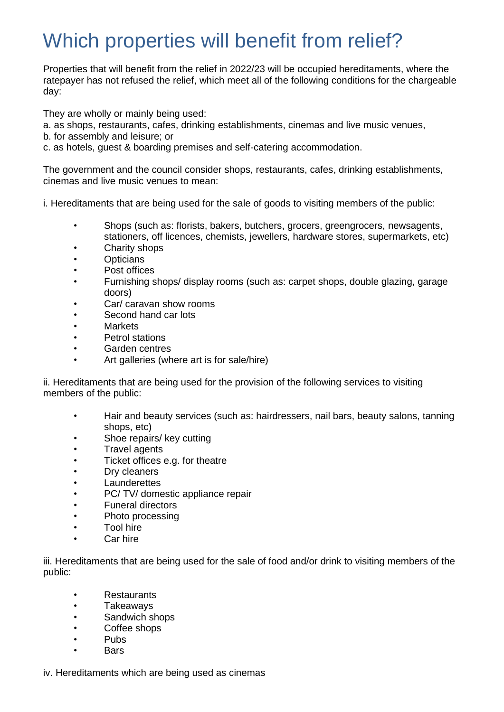## Which properties will benefit from relief?

Properties that will benefit from the relief in 2022/23 will be occupied hereditaments, where the ratepayer has not refused the relief, which meet all of the following conditions for the chargeable day:

They are wholly or mainly being used:

- a. as shops, restaurants, cafes, drinking establishments, cinemas and live music venues,
- b. for assembly and leisure; or
- c. as hotels, guest & boarding premises and self-catering accommodation.

The government and the council consider shops, restaurants, cafes, drinking establishments, cinemas and live music venues to mean:

i. Hereditaments that are being used for the sale of goods to visiting members of the public:

- Shops (such as: florists, bakers, butchers, grocers, greengrocers, newsagents, stationers, off licences, chemists, jewellers, hardware stores, supermarkets, etc)
- Charity shops
- Opticians
- Post offices
- Furnishing shops/ display rooms (such as: carpet shops, double glazing, garage doors)
- Car/ caravan show rooms
- Second hand car lots
- Markets
- Petrol stations
- Garden centres
- Art galleries (where art is for sale/hire)

ii. Hereditaments that are being used for the provision of the following services to visiting members of the public:

- Hair and beauty services (such as: hairdressers, nail bars, beauty salons, tanning shops, etc)
- Shoe repairs/ key cutting
- Travel agents
- Ticket offices e.g. for theatre
- Dry cleaners
- Launderettes
- PC/ TV/ domestic appliance repair
- Funeral directors
- Photo processing
- Tool hire
- Car hire

iii. Hereditaments that are being used for the sale of food and/or drink to visiting members of the public:

- Restaurants
- Takeaways
- Sandwich shops
- Coffee shops
- Pubs
- Bars

iv. Hereditaments which are being used as cinemas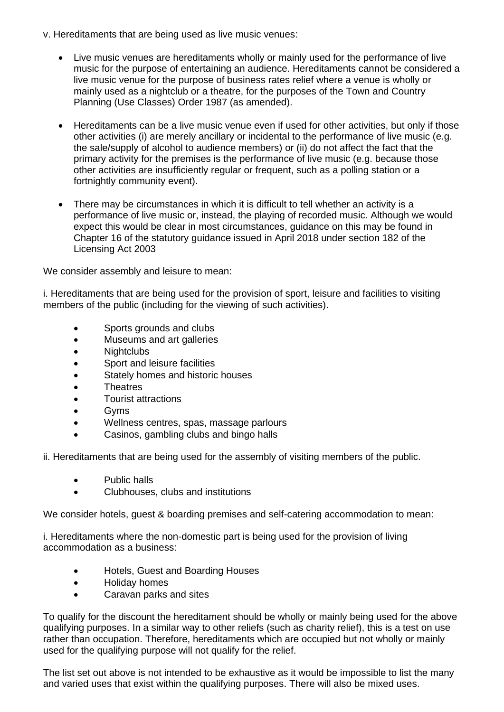- v. Hereditaments that are being used as live music venues:
	- Live music venues are hereditaments wholly or mainly used for the performance of live music for the purpose of entertaining an audience. Hereditaments cannot be considered a live music venue for the purpose of business rates relief where a venue is wholly or mainly used as a nightclub or a theatre, for the purposes of the Town and Country Planning (Use Classes) Order 1987 (as amended).
	- Hereditaments can be a live music venue even if used for other activities, but only if those other activities (i) are merely ancillary or incidental to the performance of live music (e.g. the sale/supply of alcohol to audience members) or (ii) do not affect the fact that the primary activity for the premises is the performance of live music (e.g. because those other activities are insufficiently regular or frequent, such as a polling station or a fortnightly community event).
	- There may be circumstances in which it is difficult to tell whether an activity is a performance of live music or, instead, the playing of recorded music. Although we would expect this would be clear in most circumstances, guidance on this may be found in Chapter 16 of the statutory guidance issued in April 2018 under section 182 of the Licensing Act 2003

We consider assembly and leisure to mean:

i. Hereditaments that are being used for the provision of sport, leisure and facilities to visiting members of the public (including for the viewing of such activities).

- Sports grounds and clubs
- Museums and art galleries
- Nightclubs
- Sport and leisure facilities
- Stately homes and historic houses
- Theatres
- Tourist attractions
- Gyms
- Wellness centres, spas, massage parlours
- Casinos, gambling clubs and bingo halls

ii. Hereditaments that are being used for the assembly of visiting members of the public.

- Public halls
- Clubhouses, clubs and institutions

We consider hotels, quest & boarding premises and self-catering accommodation to mean:

i. Hereditaments where the non-domestic part is being used for the provision of living accommodation as a business:

- Hotels, Guest and Boarding Houses
- Holiday homes
- Caravan parks and sites

To qualify for the discount the hereditament should be wholly or mainly being used for the above qualifying purposes. In a similar way to other reliefs (such as charity relief), this is a test on use rather than occupation. Therefore, hereditaments which are occupied but not wholly or mainly used for the qualifying purpose will not qualify for the relief.

The list set out above is not intended to be exhaustive as it would be impossible to list the many and varied uses that exist within the qualifying purposes. There will also be mixed uses.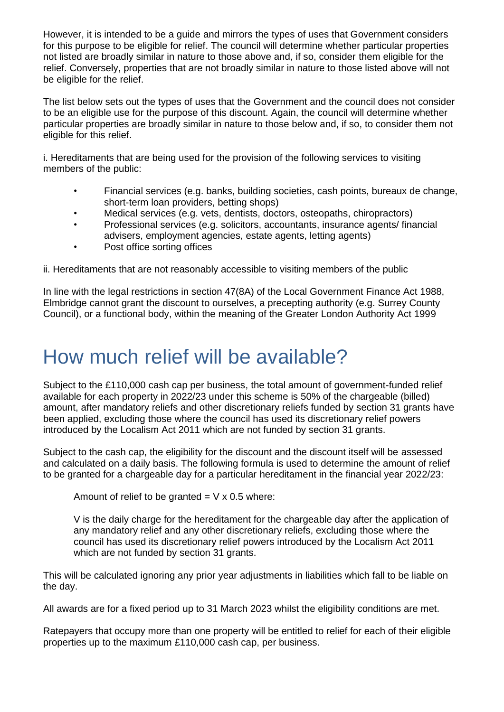However, it is intended to be a guide and mirrors the types of uses that Government considers for this purpose to be eligible for relief. The council will determine whether particular properties not listed are broadly similar in nature to those above and, if so, consider them eligible for the relief. Conversely, properties that are not broadly similar in nature to those listed above will not be eligible for the relief.

The list below sets out the types of uses that the Government and the council does not consider to be an eligible use for the purpose of this discount. Again, the council will determine whether particular properties are broadly similar in nature to those below and, if so, to consider them not eligible for this relief.

i. Hereditaments that are being used for the provision of the following services to visiting members of the public:

- Financial services (e.g. banks, building societies, cash points, bureaux de change, short-term loan providers, betting shops)
- Medical services (e.g. vets, dentists, doctors, osteopaths, chiropractors)
- Professional services (e.g. solicitors, accountants, insurance agents/ financial advisers, employment agencies, estate agents, letting agents)
- Post office sorting offices

ii. Hereditaments that are not reasonably accessible to visiting members of the public

In line with the legal restrictions in section 47(8A) of the Local Government Finance Act 1988, Elmbridge cannot grant the discount to ourselves, a precepting authority (e.g. Surrey County Council), or a functional body, within the meaning of the Greater London Authority Act 1999

### How much relief will be available?

Subject to the £110,000 cash cap per business, the total amount of government-funded relief available for each property in 2022/23 under this scheme is 50% of the chargeable (billed) amount, after mandatory reliefs and other discretionary reliefs funded by section 31 grants have been applied, excluding those where the council has used its discretionary relief powers introduced by the Localism Act 2011 which are not funded by section 31 grants.

Subject to the cash cap, the eligibility for the discount and the discount itself will be assessed and calculated on a daily basis. The following formula is used to determine the amount of relief to be granted for a chargeable day for a particular hereditament in the financial year 2022/23:

Amount of relief to be granted  $=$  V x 0.5 where:

V is the daily charge for the hereditament for the chargeable day after the application of any mandatory relief and any other discretionary reliefs, excluding those where the council has used its discretionary relief powers introduced by the Localism Act 2011 which are not funded by section 31 grants.

This will be calculated ignoring any prior year adjustments in liabilities which fall to be liable on the day.

All awards are for a fixed period up to 31 March 2023 whilst the eligibility conditions are met.

Ratepayers that occupy more than one property will be entitled to relief for each of their eligible properties up to the maximum £110,000 cash cap, per business.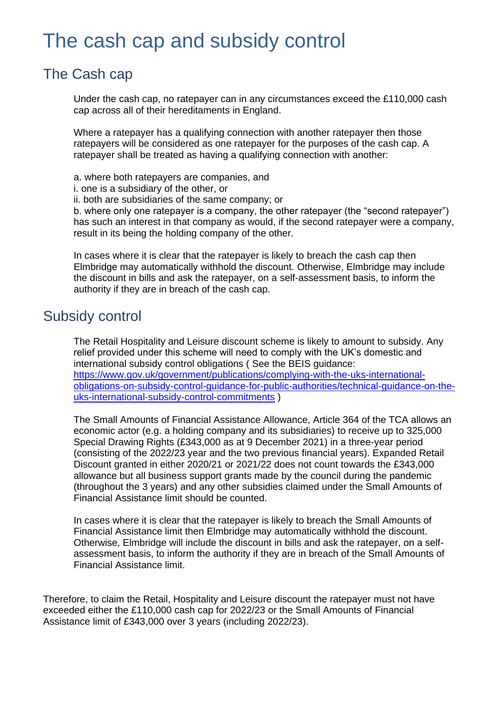### The cash cap and subsidy control

#### The Cash cap

Under the cash cap, no ratepayer can in any circumstances exceed the £110,000 cash cap across all of their hereditaments in England.

Where a ratepayer has a qualifying connection with another ratepayer then those ratepayers will be considered as one ratepayer for the purposes of the cash cap. A ratepayer shall be treated as having a qualifying connection with another:

a. where both ratepayers are companies, and

- i. one is a subsidiary of the other, or
- ii. both are subsidiaries of the same company; or

b. where only one ratepayer is a company, the other ratepayer (the "second ratepayer") has such an interest in that company as would, if the second ratepayer were a company, result in its being the holding company of the other.

In cases where it is clear that the ratepayer is likely to breach the cash cap then Elmbridge may automatically withhold the discount. Otherwise, Elmbridge may include the discount in bills and ask the ratepayer, on a self-assessment basis, to inform the authority if they are in breach of the cash cap.

#### Subsidy control

The Retail Hospitality and Leisure discount scheme is likely to amount to subsidy. Any relief provided under this scheme will need to comply with the UK's domestic and international subsidy control obligations ( See the BEIS guidance: [https://www.gov.uk/government/publications/complying-with-the-uks-international](https://www.gov.uk/government/publications/complying-with-the-uks-international-obligations-on-subsidy-control-guidance-for-public-authorities/technical-guidance-on-the-uks-international-subsidy-control-commitments)[obligations-on-subsidy-control-guidance-for-public-authorities/technical-guidance-on-the](https://www.gov.uk/government/publications/complying-with-the-uks-international-obligations-on-subsidy-control-guidance-for-public-authorities/technical-guidance-on-the-uks-international-subsidy-control-commitments)[uks-international-subsidy-control-commitments](https://www.gov.uk/government/publications/complying-with-the-uks-international-obligations-on-subsidy-control-guidance-for-public-authorities/technical-guidance-on-the-uks-international-subsidy-control-commitments) )

The Small Amounts of Financial Assistance Allowance, Article 364 of the TCA allows an economic actor (e.g. a holding company and its subsidiaries) to receive up to 325,000 Special Drawing Rights (£343,000 as at 9 December 2021) in a three-year period (consisting of the 2022/23 year and the two previous financial years). Expanded Retail Discount granted in either 2020/21 or 2021/22 does not count towards the £343,000 allowance but all business support grants made by the council during the pandemic (throughout the 3 years) and any other subsidies claimed under the Small Amounts of Financial Assistance limit should be counted.

In cases where it is clear that the ratepayer is likely to breach the Small Amounts of Financial Assistance limit then Elmbridge may automatically withhold the discount. Otherwise, Elmbridge will include the discount in bills and ask the ratepayer, on a selfassessment basis, to inform the authority if they are in breach of the Small Amounts of Financial Assistance limit.

Therefore, to claim the Retail, Hospitality and Leisure discount the ratepayer must not have exceeded either the £110,000 cash cap for 2022/23 or the Small Amounts of Financial Assistance limit of £343,000 over 3 years (including 2022/23).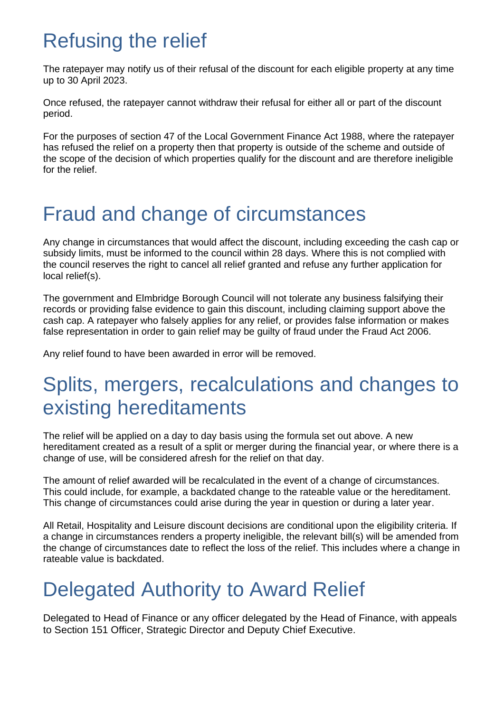## Refusing the relief

The ratepayer may notify us of their refusal of the discount for each eligible property at any time up to 30 April 2023.

Once refused, the ratepayer cannot withdraw their refusal for either all or part of the discount period.

For the purposes of section 47 of the Local Government Finance Act 1988, where the ratepayer has refused the relief on a property then that property is outside of the scheme and outside of the scope of the decision of which properties qualify for the discount and are therefore ineligible for the relief.

## Fraud and change of circumstances

Any change in circumstances that would affect the discount, including exceeding the cash cap or subsidy limits, must be informed to the council within 28 days. Where this is not complied with the council reserves the right to cancel all relief granted and refuse any further application for local relief(s).

The government and Elmbridge Borough Council will not tolerate any business falsifying their records or providing false evidence to gain this discount, including claiming support above the cash cap. A ratepayer who falsely applies for any relief, or provides false information or makes false representation in order to gain relief may be guilty of fraud under the Fraud Act 2006.

Any relief found to have been awarded in error will be removed.

### Splits, mergers, recalculations and changes to existing hereditaments

The relief will be applied on a day to day basis using the formula set out above. A new hereditament created as a result of a split or merger during the financial year, or where there is a change of use, will be considered afresh for the relief on that day.

The amount of relief awarded will be recalculated in the event of a change of circumstances. This could include, for example, a backdated change to the rateable value or the hereditament. This change of circumstances could arise during the year in question or during a later year.

All Retail, Hospitality and Leisure discount decisions are conditional upon the eligibility criteria. If a change in circumstances renders a property ineligible, the relevant bill(s) will be amended from the change of circumstances date to reflect the loss of the relief. This includes where a change in rateable value is backdated.

## Delegated Authority to Award Relief

Delegated to Head of Finance or any officer delegated by the Head of Finance, with appeals to Section 151 Officer, Strategic Director and Deputy Chief Executive.